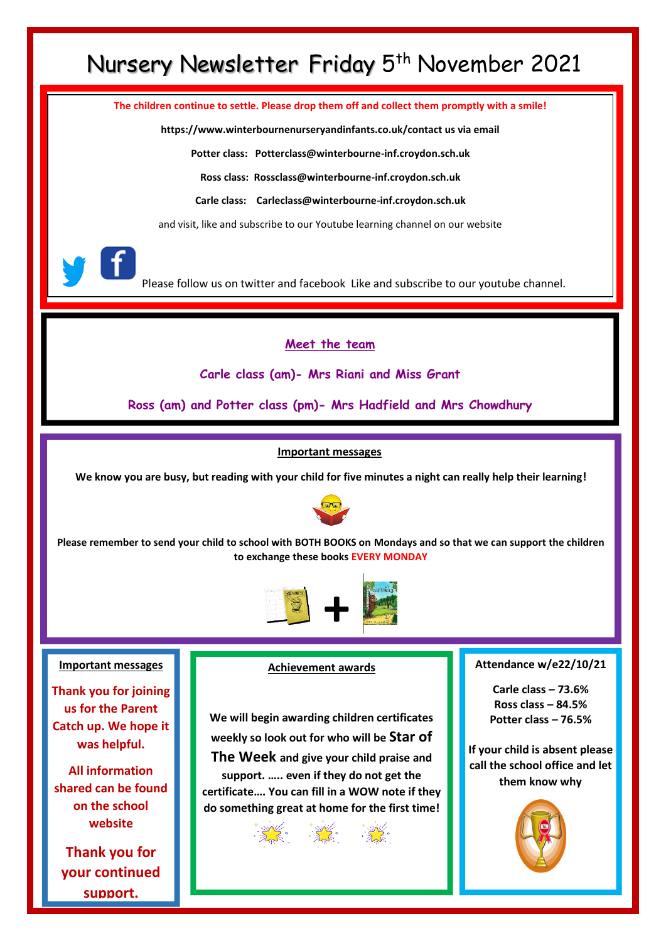## Nursery Newsletter Friday 5<sup>th</sup> November 2021

**The children continue to settle. Please drop them off and collect them promptly with a smile!**

**https://www.winterbournenurseryandinfants.co.uk/contact us via email**

**Potter class: Potterclass@winterbourne-inf.croydon.sch.uk**

**Ross class: Rossclass@winterbourne-inf.croydon.sch.uk**

**Carle class: Carleclass@winterbourne-inf.croydon.sch.uk**

and visit, like and subscribe to our Youtube learning channel on our website



Please follow us on twitter and facebook Like and subscribe to our youtube channel.

**Meet the team**

**Carle class (am)- Mrs Riani and Miss Grant**

**Ross (am) and Potter class (pm)- Mrs Hadfield and Mrs Chowdhury**

### **Important messages**

**We know you are busy, but reading with your child for five minutes a night can really help their learning!**



**Please remember to send your child to school with BOTH BOOKS on Mondays and so that we can support the children to exchange these books EVERY MONDAY**



### **Important messages**

**Thank you for joining us for the Parent Catch up. We hope it was helpful.**

**All information shared can be found on the school website**

**Thank you for your continued support.**

#### **Achievement awards**

**We will begin awarding children certificates weekly so look out for who will be Star of The Week and give your child praise and support. ….. even if they do not get the certificate…. You can fill in a WOW note if they do something great at home for the first time!** 

#### **Attendance w/e22/10/21**

**Carle class – 73.6% Ross class – 84.5% Potter class – 76.5%**

**If your child is absent please call the school office and let them know why**